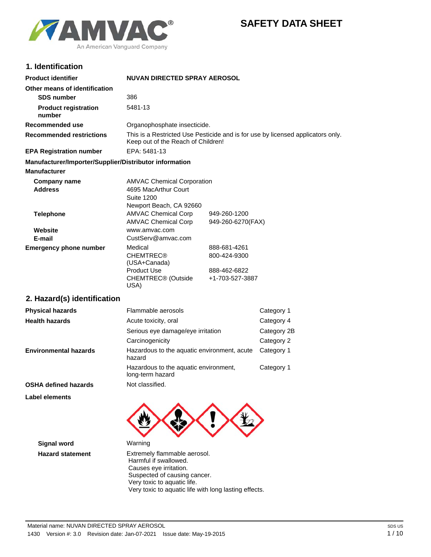# **SAFETY DATA SHEET**



## **1. Identification**

| <b>Product identifier</b>                              | <b>NUVAN DIRECTED SPRAY AEROSOL</b>                                                                                   |                                 |             |
|--------------------------------------------------------|-----------------------------------------------------------------------------------------------------------------------|---------------------------------|-------------|
| Other means of identification                          |                                                                                                                       |                                 |             |
| <b>SDS number</b>                                      | 386                                                                                                                   |                                 |             |
| <b>Product registration</b><br>number                  | 5481-13                                                                                                               |                                 |             |
| Recommended use                                        | Organophosphate insecticide.                                                                                          |                                 |             |
| <b>Recommended restrictions</b>                        | This is a Restricted Use Pesticide and is for use by licensed applicators only.<br>Keep out of the Reach of Children! |                                 |             |
| <b>EPA Registration number</b>                         | EPA: 5481-13                                                                                                          |                                 |             |
| Manufacturer/Importer/Supplier/Distributor information |                                                                                                                       |                                 |             |
| <b>Manufacturer</b>                                    |                                                                                                                       |                                 |             |
| <b>Company name</b><br><b>Address</b>                  | <b>AMVAC Chemical Corporation</b><br>4695 MacArthur Court<br><b>Suite 1200</b><br>Newport Beach, CA 92660             |                                 |             |
| <b>Telephone</b>                                       | <b>AMVAC Chemical Corp</b>                                                                                            | 949-260-1200                    |             |
| Website                                                | <b>AMVAC Chemical Corp</b><br>www.amvac.com                                                                           | 949-260-6270(FAX)               |             |
| E-mail                                                 | CustServ@amvac.com                                                                                                    |                                 |             |
| <b>Emergency phone number</b>                          | Medical                                                                                                               | 888-681-4261                    |             |
|                                                        | <b>CHEMTREC®</b><br>(USA+Canada)                                                                                      | 800-424-9300                    |             |
|                                                        | <b>Product Use</b><br>CHEMTREC® (Outside<br>USA)                                                                      | 888-462-6822<br>+1-703-527-3887 |             |
| 2. Hazard(s) identification                            |                                                                                                                       |                                 |             |
| <b>Physical hazards</b>                                | Flammable aerosols                                                                                                    |                                 | Category 1  |
| <b>Health hazards</b>                                  | Acute toxicity, oral                                                                                                  |                                 | Category 4  |
|                                                        | Serious eye damage/eye irritation                                                                                     |                                 | Category 2B |
|                                                        | Carcinogenicity                                                                                                       |                                 | Category 2  |
| <b>Environmental hazards</b>                           | Hazardous to the aquatic environment, acute<br>hazard                                                                 |                                 | Category 1  |
|                                                        | Hazardous to the aquatic environment,<br>long-term hazard                                                             |                                 | Category 1  |
| <b>OSHA defined hazards</b>                            | Not classified.                                                                                                       |                                 |             |
| <b>Label elements</b>                                  |                                                                                                                       |                                 |             |
|                                                        |                                                                                                                       |                                 |             |
| <b>Signal word</b>                                     | Warning                                                                                                               |                                 |             |
| <b>Hazard statement</b>                                | Extremely flammable aerosol.<br>Harmful if swallowed.<br>Causes eye irritation.                                       |                                 |             |

 Suspected of causing cancer. Very toxic to aquatic life.

Very toxic to aquatic life with long lasting effects.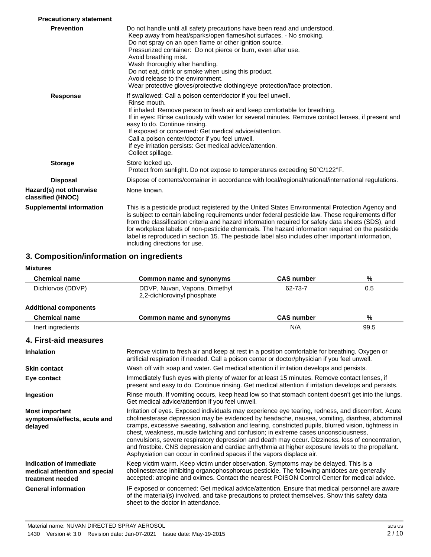| <b>Precautionary statement</b>               |                                                                                                                                                                                                                                                                                                                                                                                                                                                                                                                                                        |
|----------------------------------------------|--------------------------------------------------------------------------------------------------------------------------------------------------------------------------------------------------------------------------------------------------------------------------------------------------------------------------------------------------------------------------------------------------------------------------------------------------------------------------------------------------------------------------------------------------------|
| <b>Prevention</b>                            | Do not handle until all safety precautions have been read and understood.<br>Keep away from heat/sparks/open flames/hot surfaces. - No smoking.<br>Do not spray on an open flame or other ignition source.<br>Pressurized container: Do not pierce or burn, even after use.<br>Avoid breathing mist.<br>Wash thoroughly after handling.<br>Do not eat, drink or smoke when using this product.<br>Avoid release to the environment.<br>Wear protective gloves/protective clothing/eye protection/face protection.                                      |
| <b>Response</b>                              | If swallowed: Call a poison center/doctor if you feel unwell.<br>Rinse mouth.<br>If inhaled: Remove person to fresh air and keep comfortable for breathing.<br>If in eyes: Rinse cautiously with water for several minutes. Remove contact lenses, if present and<br>easy to do. Continue rinsing.<br>If exposed or concerned: Get medical advice/attention.<br>Call a poison center/doctor if you feel unwell.<br>If eye irritation persists: Get medical advice/attention.<br>Collect spillage.                                                      |
| <b>Storage</b>                               | Store locked up.<br>Protect from sunlight. Do not expose to temperatures exceeding 50°C/122°F.                                                                                                                                                                                                                                                                                                                                                                                                                                                         |
| <b>Disposal</b>                              | Dispose of contents/container in accordance with local/regional/national/international regulations.                                                                                                                                                                                                                                                                                                                                                                                                                                                    |
| Hazard(s) not otherwise<br>classified (HNOC) | None known.                                                                                                                                                                                                                                                                                                                                                                                                                                                                                                                                            |
| <b>Supplemental information</b>              | This is a pesticide product registered by the United States Environmental Protection Agency and<br>is subject to certain labeling requirements under federal pesticide law. These requirements differ<br>from the classification criteria and hazard information required for safety data sheets (SDS), and<br>for workplace labels of non-pesticide chemicals. The hazard information required on the pesticide<br>label is reproduced in section 15. The pesticide label also includes other important information,<br>including directions for use. |

# **3. Composition/information on ingredients**

### **Mixtures**

| <b>Chemical name</b>                                                         | Common name and synonyms                                                                                                                                                                                                                                                                                                                                                                                                                                                                                                                                                                                                                                                             | <b>CAS number</b> | %    |
|------------------------------------------------------------------------------|--------------------------------------------------------------------------------------------------------------------------------------------------------------------------------------------------------------------------------------------------------------------------------------------------------------------------------------------------------------------------------------------------------------------------------------------------------------------------------------------------------------------------------------------------------------------------------------------------------------------------------------------------------------------------------------|-------------------|------|
| Dichlorvos (DDVP)                                                            | DDVP, Nuvan, Vapona, Dimethyl<br>2.2-dichlorovinyl phosphate                                                                                                                                                                                                                                                                                                                                                                                                                                                                                                                                                                                                                         | 62-73-7           | 0.5  |
| <b>Additional components</b>                                                 |                                                                                                                                                                                                                                                                                                                                                                                                                                                                                                                                                                                                                                                                                      |                   |      |
| <b>Chemical name</b>                                                         | Common name and synonyms                                                                                                                                                                                                                                                                                                                                                                                                                                                                                                                                                                                                                                                             | <b>CAS number</b> | %    |
| Inert ingredients                                                            |                                                                                                                                                                                                                                                                                                                                                                                                                                                                                                                                                                                                                                                                                      | N/A               | 99.5 |
| 4. First-aid measures                                                        |                                                                                                                                                                                                                                                                                                                                                                                                                                                                                                                                                                                                                                                                                      |                   |      |
| <b>Inhalation</b>                                                            | Remove victim to fresh air and keep at rest in a position comfortable for breathing. Oxygen or<br>artificial respiration if needed. Call a poison center or doctor/physician if you feel unwell.                                                                                                                                                                                                                                                                                                                                                                                                                                                                                     |                   |      |
| <b>Skin contact</b>                                                          | Wash off with soap and water. Get medical attention if irritation develops and persists.                                                                                                                                                                                                                                                                                                                                                                                                                                                                                                                                                                                             |                   |      |
| Eye contact                                                                  | Immediately flush eyes with plenty of water for at least 15 minutes. Remove contact lenses, if<br>present and easy to do. Continue rinsing. Get medical attention if irritation develops and persists.                                                                                                                                                                                                                                                                                                                                                                                                                                                                               |                   |      |
| Ingestion                                                                    | Rinse mouth. If vomiting occurs, keep head low so that stomach content doesn't get into the lungs.<br>Get medical advice/attention if you feel unwell.                                                                                                                                                                                                                                                                                                                                                                                                                                                                                                                               |                   |      |
| <b>Most important</b><br>symptoms/effects, acute and<br>delayed              | Irritation of eyes. Exposed individuals may experience eye tearing, redness, and discomfort. Acute<br>cholinesterase depression may be evidenced by headache, nausea, vomiting, diarrhea, abdominal<br>cramps, excessive sweating, salivation and tearing, constricted pupils, blurred vision, tightness in<br>chest, weakness, muscle twitching and confusion; in extreme cases unconsciousness,<br>convulsions, severe respiratory depression and death may occur. Dizziness, loss of concentration,<br>and frostbite. CNS depression and cardiac arrhythmia at higher exposure levels to the propellant.<br>Asphyxiation can occur in confined spaces if the vapors displace air. |                   |      |
| Indication of immediate<br>medical attention and special<br>treatment needed | Keep victim warm. Keep victim under observation. Symptoms may be delayed. This is a<br>cholinesterase inhibiting organophosphorous pesticide. The following antidotes are generally<br>accepted: atropine and oximes. Contact the nearest POISON Control Center for medical advice.                                                                                                                                                                                                                                                                                                                                                                                                  |                   |      |
| <b>General information</b>                                                   | IF exposed or concerned: Get medical advice/attention. Ensure that medical personnel are aware<br>of the material(s) involved, and take precautions to protect themselves. Show this safety data<br>sheet to the doctor in attendance.                                                                                                                                                                                                                                                                                                                                                                                                                                               |                   |      |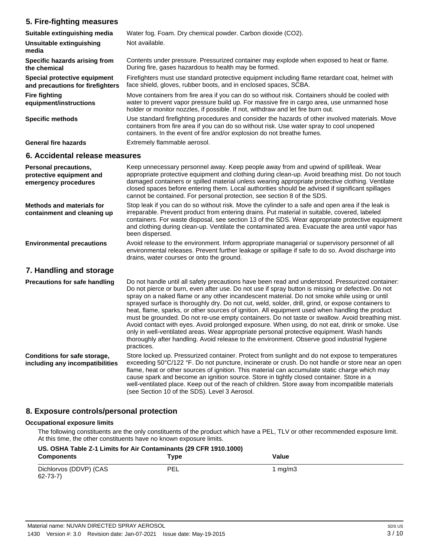## **5. Fire-fighting measures**

| Suitable extinguishing media                                              | Water fog. Foam. Dry chemical powder. Carbon dioxide (CO2).                                                                                                                                                                                                                                                                                                                                                                                                                   |  |  |
|---------------------------------------------------------------------------|-------------------------------------------------------------------------------------------------------------------------------------------------------------------------------------------------------------------------------------------------------------------------------------------------------------------------------------------------------------------------------------------------------------------------------------------------------------------------------|--|--|
| Unsuitable extinguishing<br>media                                         | Not available.                                                                                                                                                                                                                                                                                                                                                                                                                                                                |  |  |
| Specific hazards arising from<br>the chemical                             | Contents under pressure. Pressurized container may explode when exposed to heat or flame.<br>During fire, gases hazardous to health may be formed.                                                                                                                                                                                                                                                                                                                            |  |  |
| Special protective equipment<br>and precautions for firefighters          | Firefighters must use standard protective equipment including flame retardant coat, helmet with<br>face shield, gloves, rubber boots, and in enclosed spaces, SCBA.                                                                                                                                                                                                                                                                                                           |  |  |
| <b>Fire fighting</b><br>equipment/instructions                            | Move containers from fire area if you can do so without risk. Containers should be cooled with<br>water to prevent vapor pressure build up. For massive fire in cargo area, use unmanned hose<br>holder or monitor nozzles, if possible. If not, withdraw and let fire burn out.                                                                                                                                                                                              |  |  |
| <b>Specific methods</b>                                                   | Use standard firefighting procedures and consider the hazards of other involved materials. Move<br>containers from fire area if you can do so without risk. Use water spray to cool unopened<br>containers. In the event of fire and/or explosion do not breathe fumes.                                                                                                                                                                                                       |  |  |
| <b>General fire hazards</b>                                               | Extremely flammable aerosol.                                                                                                                                                                                                                                                                                                                                                                                                                                                  |  |  |
| 6. Accidental release measures                                            |                                                                                                                                                                                                                                                                                                                                                                                                                                                                               |  |  |
| Personal precautions,<br>protective equipment and<br>emergency procedures | Keep unnecessary personnel away. Keep people away from and upwind of spill/leak. Wear<br>appropriate protective equipment and clothing during clean-up. Avoid breathing mist. Do not touch<br>damaged containers or spilled material unless wearing appropriate protective clothing. Ventilate<br>closed spaces before entering them. Local authorities should be advised if significant spillages<br>cannot be contained. For personal protection, see section 8 of the SDS. |  |  |
| <b>Methods and materials for</b><br>containment and cleaning up           | Stop leak if you can do so without risk. Move the cylinder to a safe and open area if the leak is<br>irreparable. Prevent product from entering drains. Put material in suitable, covered, labeled<br>containers. For waste disposal, see section 13 of the SDS. Wear appropriate protective equipment                                                                                                                                                                        |  |  |

been dispersed. Avoid release to the environment. Inform appropriate managerial or supervisory personnel of all environmental releases. Prevent further leakage or spillage if safe to do so. Avoid discharge into drains, water courses or onto the ground. **Environmental precautions**

and clothing during clean-up. Ventilate the contaminated area. Evacuate the area until vapor has

### **7. Handling and storage**

| <b>Precautions for safe handling</b>                            | Do not handle until all safety precautions have been read and understood. Pressurized container:<br>Do not pierce or burn, even after use. Do not use if spray button is missing or defective. Do not<br>spray on a naked flame or any other incandescent material. Do not smoke while using or until<br>sprayed surface is thoroughly dry. Do not cut, weld, solder, drill, grind, or expose containers to<br>heat, flame, sparks, or other sources of ignition. All equipment used when handling the product<br>must be grounded. Do not re-use empty containers. Do not taste or swallow. Avoid breathing mist.<br>Avoid contact with eyes. Avoid prolonged exposure. When using, do not eat, drink or smoke. Use<br>only in well-ventilated areas. Wear appropriate personal protective equipment. Wash hands<br>thoroughly after handling. Avoid release to the environment. Observe good industrial hygiene<br>practices. |
|-----------------------------------------------------------------|---------------------------------------------------------------------------------------------------------------------------------------------------------------------------------------------------------------------------------------------------------------------------------------------------------------------------------------------------------------------------------------------------------------------------------------------------------------------------------------------------------------------------------------------------------------------------------------------------------------------------------------------------------------------------------------------------------------------------------------------------------------------------------------------------------------------------------------------------------------------------------------------------------------------------------|
| Conditions for safe storage,<br>including any incompatibilities | Store locked up. Pressurized container. Protect from sunlight and do not expose to temperatures<br>exceeding 50°C/122 °F. Do not puncture, incinerate or crush. Do not handle or store near an open<br>flame, heat or other sources of ignition. This material can accumulate static charge which may<br>cause spark and become an ignition source. Store in tightly closed container. Store in a<br>well-ventilated place. Keep out of the reach of children. Store away from incompatible materials<br>(see Section 10 of the SDS). Level 3 Aerosol.                                                                                                                                                                                                                                                                                                                                                                          |

### **8. Exposure controls/personal protection**

#### **Occupational exposure limits**

The following constituents are the only constituents of the product which have a PEL, TLV or other recommended exposure limit. At this time, the other constituents have no known exposure limits.

| US. OSHA Table Z-1 Limits for Air Contaminants (29 CFR 1910.1000) |      |         |  |
|-------------------------------------------------------------------|------|---------|--|
| <b>Components</b>                                                 | Type | Value   |  |
| Dichlorvos (DDVP) (CAS<br>$62 - 73 - 7)$                          | PEL  | 1 ma/m3 |  |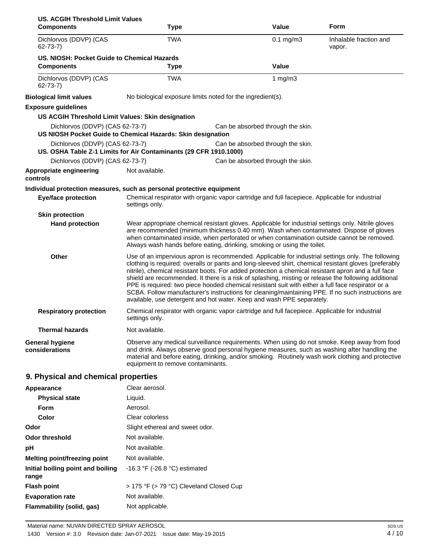| <b>US. ACGIH Threshold Limit Values</b><br><b>Components</b> | Type                                                                  | Value                                                                                                                                                                                                                                                                                                                                                                                                                                                                                                                                                                                                                                                                                                         | Form                             |
|--------------------------------------------------------------|-----------------------------------------------------------------------|---------------------------------------------------------------------------------------------------------------------------------------------------------------------------------------------------------------------------------------------------------------------------------------------------------------------------------------------------------------------------------------------------------------------------------------------------------------------------------------------------------------------------------------------------------------------------------------------------------------------------------------------------------------------------------------------------------------|----------------------------------|
| Dichlorvos (DDVP) (CAS<br>$62 - 73 - 7$ )                    | <b>TWA</b>                                                            | $0.1$ mg/m $3$                                                                                                                                                                                                                                                                                                                                                                                                                                                                                                                                                                                                                                                                                                | Inhalable fraction and<br>vapor. |
| US. NIOSH: Pocket Guide to Chemical Hazards                  |                                                                       |                                                                                                                                                                                                                                                                                                                                                                                                                                                                                                                                                                                                                                                                                                               |                                  |
| <b>Components</b>                                            | <b>Type</b>                                                           | <b>Value</b>                                                                                                                                                                                                                                                                                                                                                                                                                                                                                                                                                                                                                                                                                                  |                                  |
| Dichlorvos (DDVP) (CAS<br>$62 - 73 - 7$                      | <b>TWA</b>                                                            | 1 $mg/m3$                                                                                                                                                                                                                                                                                                                                                                                                                                                                                                                                                                                                                                                                                                     |                                  |
| <b>Biological limit values</b>                               | No biological exposure limits noted for the ingredient(s).            |                                                                                                                                                                                                                                                                                                                                                                                                                                                                                                                                                                                                                                                                                                               |                                  |
| <b>Exposure guidelines</b>                                   |                                                                       |                                                                                                                                                                                                                                                                                                                                                                                                                                                                                                                                                                                                                                                                                                               |                                  |
|                                                              | US ACGIH Threshold Limit Values: Skin designation                     |                                                                                                                                                                                                                                                                                                                                                                                                                                                                                                                                                                                                                                                                                                               |                                  |
| Dichlorvos (DDVP) (CAS 62-73-7)                              | US NIOSH Pocket Guide to Chemical Hazards: Skin designation           | Can be absorbed through the skin.                                                                                                                                                                                                                                                                                                                                                                                                                                                                                                                                                                                                                                                                             |                                  |
| Dichlorvos (DDVP) (CAS 62-73-7)                              | US. OSHA Table Z-1 Limits for Air Contaminants (29 CFR 1910.1000)     | Can be absorbed through the skin.                                                                                                                                                                                                                                                                                                                                                                                                                                                                                                                                                                                                                                                                             |                                  |
| Dichlorvos (DDVP) (CAS 62-73-7)                              |                                                                       | Can be absorbed through the skin.                                                                                                                                                                                                                                                                                                                                                                                                                                                                                                                                                                                                                                                                             |                                  |
| Appropriate engineering<br>controls                          | Not available.                                                        |                                                                                                                                                                                                                                                                                                                                                                                                                                                                                                                                                                                                                                                                                                               |                                  |
|                                                              | Individual protection measures, such as personal protective equipment |                                                                                                                                                                                                                                                                                                                                                                                                                                                                                                                                                                                                                                                                                                               |                                  |
| <b>Eye/face protection</b>                                   | settings only.                                                        | Chemical respirator with organic vapor cartridge and full facepiece. Applicable for industrial                                                                                                                                                                                                                                                                                                                                                                                                                                                                                                                                                                                                                |                                  |
| <b>Skin protection</b>                                       |                                                                       |                                                                                                                                                                                                                                                                                                                                                                                                                                                                                                                                                                                                                                                                                                               |                                  |
| <b>Hand protection</b>                                       |                                                                       | Wear appropriate chemical resistant gloves. Applicable for industrial settings only. Nitrile gloves<br>are recommended (minimum thickness 0.40 mm). Wash when contaminated. Dispose of gloves<br>when contaminated inside, when perforated or when contamination outside cannot be removed.<br>Always wash hands before eating, drinking, smoking or using the toilet.                                                                                                                                                                                                                                                                                                                                        |                                  |
| <b>Other</b>                                                 |                                                                       | Use of an impervious apron is recommended. Applicable for industrial settings only. The following<br>clothing is required: overalls or pants and long-sleeved shirt, chemical resistant gloves (preferably<br>nitrile), chemical resistant boots. For added protection a chemical resistant apron and a full face<br>shield are recommended. It there is a risk of splashing, misting or release the following additional<br>PPE is required: two piece hooded chemical resistant suit with either a full face respirator or a<br>SCBA. Follow manufacturer's instructions for cleaning/maintaining PPE. If no such instructions are<br>available, use detergent and hot water. Keep and wash PPE separately. |                                  |
| <b>Respiratory protection</b>                                | settings only.                                                        | Chemical respirator with organic vapor cartridge and full facepiece. Applicable for industrial                                                                                                                                                                                                                                                                                                                                                                                                                                                                                                                                                                                                                |                                  |
| <b>Thermal hazards</b>                                       | Not available.                                                        |                                                                                                                                                                                                                                                                                                                                                                                                                                                                                                                                                                                                                                                                                                               |                                  |
| General hygiene<br>considerations                            | equipment to remove contaminants.                                     | Observe any medical surveillance requirements. When using do not smoke. Keep away from food<br>and drink. Always observe good personal hygiene measures, such as washing after handling the<br>material and before eating, drinking, and/or smoking. Routinely wash work clothing and protective                                                                                                                                                                                                                                                                                                                                                                                                              |                                  |
| 9. Physical and chemical properties                          |                                                                       |                                                                                                                                                                                                                                                                                                                                                                                                                                                                                                                                                                                                                                                                                                               |                                  |
| <b>Appearance</b>                                            | Clear aerosol.                                                        |                                                                                                                                                                                                                                                                                                                                                                                                                                                                                                                                                                                                                                                                                                               |                                  |
| <b>Physical state</b>                                        | Liquid.                                                               |                                                                                                                                                                                                                                                                                                                                                                                                                                                                                                                                                                                                                                                                                                               |                                  |
| Form                                                         | Aerosol.                                                              |                                                                                                                                                                                                                                                                                                                                                                                                                                                                                                                                                                                                                                                                                                               |                                  |
|                                                              |                                                                       |                                                                                                                                                                                                                                                                                                                                                                                                                                                                                                                                                                                                                                                                                                               |                                  |

| <b>FOND</b>                                | AUUSUI.                                         |
|--------------------------------------------|-------------------------------------------------|
| Color                                      | Clear colorless                                 |
| Odor                                       | Slight ethereal and sweet odor.                 |
| <b>Odor threshold</b>                      | Not available.                                  |
| рH                                         | Not available.                                  |
| Melting point/freezing point               | Not available.                                  |
| Initial boiling point and boiling<br>range | -16.3 $\degree$ F (-26.8 $\degree$ C) estimated |
| <b>Flash point</b>                         | > 175 °F (> 79 °C) Cleveland Closed Cup         |
| <b>Evaporation rate</b>                    | Not available.                                  |
| Flammability (solid, gas)                  | Not applicable.                                 |
|                                            |                                                 |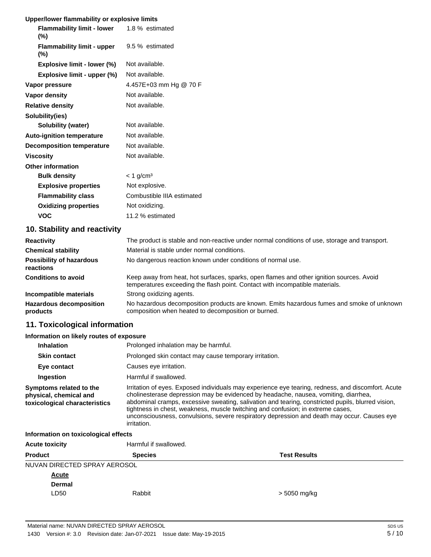## **Upper/lower flammability or explosive limits**

| Opper/IOWER Hammability OF EXPIOSIVE IMMITS |                            |  |  |
|---------------------------------------------|----------------------------|--|--|
| <b>Flammability limit - lower</b><br>(%)    | 1.8 % estimated            |  |  |
| <b>Flammability limit - upper</b><br>$(\%)$ | 9.5 % estimated            |  |  |
| Explosive limit - lower (%)                 | Not available.             |  |  |
| Explosive limit - upper (%)                 | Not available.             |  |  |
| Vapor pressure                              | 4.457E+03 mm Hg @ 70 F     |  |  |
| Vapor density                               | Not available.             |  |  |
| <b>Relative density</b>                     | Not available.             |  |  |
| Solubility(ies)                             |                            |  |  |
| <b>Solubility (water)</b>                   | Not available.             |  |  |
| <b>Auto-ignition temperature</b>            | Not available.             |  |  |
| <b>Decomposition temperature</b>            | Not available.             |  |  |
| Viscosity                                   | Not available.             |  |  |
| <b>Other information</b>                    |                            |  |  |
| <b>Bulk density</b>                         | $< 1$ g/cm <sup>3</sup>    |  |  |
| <b>Explosive properties</b>                 | Not explosive.             |  |  |
| <b>Flammability class</b>                   | Combustible IIIA estimated |  |  |
| <b>Oxidizing properties</b>                 | Not oxidizing.             |  |  |
| VOC                                         | 11.2 % estimated           |  |  |

## **10. Stability and reactivity**

| <b>Reactivity</b>                            | The product is stable and non-reactive under normal conditions of use, storage and transport.                                                                            |
|----------------------------------------------|--------------------------------------------------------------------------------------------------------------------------------------------------------------------------|
| <b>Chemical stability</b>                    | Material is stable under normal conditions.                                                                                                                              |
| <b>Possibility of hazardous</b><br>reactions | No dangerous reaction known under conditions of normal use.                                                                                                              |
| <b>Conditions to avoid</b>                   | Keep away from heat, hot surfaces, sparks, open flames and other ignition sources. Avoid<br>temperatures exceeding the flash point. Contact with incompatible materials. |
| Incompatible materials                       | Strong oxidizing agents.                                                                                                                                                 |
| <b>Hazardous decomposition</b><br>products   | No hazardous decomposition products are known. Emits hazardous fumes and smoke of unknown<br>composition when heated to decomposition or burned.                         |

## **11. Toxicological information**

### **Information on likely routes of exposure**

| <b>Inhalation</b>                                                                  | Prolonged inhalation may be harmful.                                                                                                                                                                                                                                                                                                                                                                                                                                                            |
|------------------------------------------------------------------------------------|-------------------------------------------------------------------------------------------------------------------------------------------------------------------------------------------------------------------------------------------------------------------------------------------------------------------------------------------------------------------------------------------------------------------------------------------------------------------------------------------------|
| <b>Skin contact</b>                                                                | Prolonged skin contact may cause temporary irritation.                                                                                                                                                                                                                                                                                                                                                                                                                                          |
| Eye contact                                                                        | Causes eye irritation.                                                                                                                                                                                                                                                                                                                                                                                                                                                                          |
| Ingestion                                                                          | Harmful if swallowed.                                                                                                                                                                                                                                                                                                                                                                                                                                                                           |
| Symptoms related to the<br>physical, chemical and<br>toxicological characteristics | Irritation of eyes. Exposed individuals may experience eye tearing, redness, and discomfort. Acute<br>cholinesterase depression may be evidenced by headache, nausea, vomiting, diarrhea,<br>abdominal cramps, excessive sweating, salivation and tearing, constricted pupils, blurred vision,<br>tightness in chest, weakness, muscle twitching and confusion; in extreme cases,<br>unconsciousness, convulsions, severe respiratory depression and death may occur. Causes eye<br>irritation. |

### **Information on toxicological effects**

| <b>Acute toxicity</b>        | Harmful if swallowed. |                     |  |
|------------------------------|-----------------------|---------------------|--|
| <b>Product</b>               | <b>Species</b>        | <b>Test Results</b> |  |
| NUVAN DIRECTED SPRAY AEROSOL |                       |                     |  |
| <b>Acute</b>                 |                       |                     |  |
| <b>Dermal</b>                |                       |                     |  |
| LD50                         | Rabbit                | > 5050 mg/kg        |  |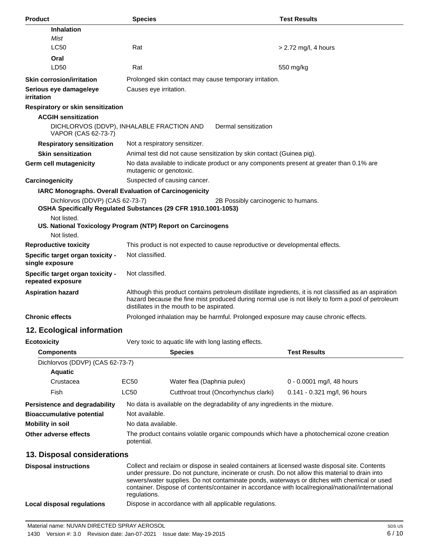| <b>Product</b>                                                                                                                                                                                                                                           | <b>Species</b>                                                                                                                                                                                                                                           |                            |                                                                       | <b>Test Results</b>                                                                      |
|----------------------------------------------------------------------------------------------------------------------------------------------------------------------------------------------------------------------------------------------------------|----------------------------------------------------------------------------------------------------------------------------------------------------------------------------------------------------------------------------------------------------------|----------------------------|-----------------------------------------------------------------------|------------------------------------------------------------------------------------------|
| <b>Inhalation</b>                                                                                                                                                                                                                                        |                                                                                                                                                                                                                                                          |                            |                                                                       |                                                                                          |
| Mist                                                                                                                                                                                                                                                     |                                                                                                                                                                                                                                                          |                            |                                                                       |                                                                                          |
| <b>LC50</b>                                                                                                                                                                                                                                              | Rat                                                                                                                                                                                                                                                      |                            |                                                                       | $> 2.72$ mg/l, 4 hours                                                                   |
| Oral                                                                                                                                                                                                                                                     |                                                                                                                                                                                                                                                          |                            |                                                                       |                                                                                          |
| LD50                                                                                                                                                                                                                                                     | Rat                                                                                                                                                                                                                                                      |                            |                                                                       | 550 mg/kg                                                                                |
| <b>Skin corrosion/irritation</b>                                                                                                                                                                                                                         |                                                                                                                                                                                                                                                          |                            | Prolonged skin contact may cause temporary irritation.                |                                                                                          |
| Serious eye damage/eye<br>irritation                                                                                                                                                                                                                     | Causes eye irritation.                                                                                                                                                                                                                                   |                            |                                                                       |                                                                                          |
| Respiratory or skin sensitization                                                                                                                                                                                                                        |                                                                                                                                                                                                                                                          |                            |                                                                       |                                                                                          |
| <b>ACGIH sensitization</b>                                                                                                                                                                                                                               |                                                                                                                                                                                                                                                          |                            |                                                                       |                                                                                          |
| DICHLORVOS (DDVP), INHALABLE FRACTION AND<br>VAPOR (CAS 62-73-7)                                                                                                                                                                                         |                                                                                                                                                                                                                                                          |                            | Dermal sensitization                                                  |                                                                                          |
| <b>Respiratory sensitization</b>                                                                                                                                                                                                                         | Not a respiratory sensitizer.                                                                                                                                                                                                                            |                            |                                                                       |                                                                                          |
| <b>Skin sensitization</b>                                                                                                                                                                                                                                |                                                                                                                                                                                                                                                          |                            | Animal test did not cause sensitization by skin contact (Guinea pig). |                                                                                          |
| <b>Germ cell mutagenicity</b>                                                                                                                                                                                                                            | mutagenic or genotoxic.                                                                                                                                                                                                                                  |                            |                                                                       | No data available to indicate product or any components present at greater than 0.1% are |
| Carcinogenicity                                                                                                                                                                                                                                          | Suspected of causing cancer.                                                                                                                                                                                                                             |                            |                                                                       |                                                                                          |
| IARC Monographs. Overall Evaluation of Carcinogenicity<br>Dichlorvos (DDVP) (CAS 62-73-7)<br>OSHA Specifically Regulated Substances (29 CFR 1910.1001-1053)<br>Not listed.<br>US. National Toxicology Program (NTP) Report on Carcinogens<br>Not listed. |                                                                                                                                                                                                                                                          |                            | 2B Possibly carcinogenic to humans.                                   |                                                                                          |
| <b>Reproductive toxicity</b>                                                                                                                                                                                                                             |                                                                                                                                                                                                                                                          |                            |                                                                       | This product is not expected to cause reproductive or developmental effects.             |
| Specific target organ toxicity -<br>single exposure                                                                                                                                                                                                      | Not classified.                                                                                                                                                                                                                                          |                            |                                                                       |                                                                                          |
| Specific target organ toxicity -<br>repeated exposure                                                                                                                                                                                                    | Not classified.                                                                                                                                                                                                                                          |                            |                                                                       |                                                                                          |
| <b>Aspiration hazard</b>                                                                                                                                                                                                                                 | Although this product contains petroleum distillate ingredients, it is not classified as an aspiration<br>hazard because the fine mist produced during normal use is not likely to form a pool of petroleum<br>distillates in the mouth to be aspirated. |                            |                                                                       |                                                                                          |
| <b>Chronic effects</b>                                                                                                                                                                                                                                   |                                                                                                                                                                                                                                                          |                            |                                                                       | Prolonged inhalation may be harmful. Prolonged exposure may cause chronic effects.       |
| 12. Ecological information                                                                                                                                                                                                                               |                                                                                                                                                                                                                                                          |                            |                                                                       |                                                                                          |
| <b>Ecotoxicity</b>                                                                                                                                                                                                                                       |                                                                                                                                                                                                                                                          |                            | Very toxic to aquatic life with long lasting effects.                 |                                                                                          |
| <b>Components</b>                                                                                                                                                                                                                                        |                                                                                                                                                                                                                                                          | <b>Species</b>             |                                                                       | <b>Test Results</b>                                                                      |
| Dichlorvos (DDVP) (CAS 62-73-7)                                                                                                                                                                                                                          |                                                                                                                                                                                                                                                          |                            |                                                                       |                                                                                          |
| <b>Aquatic</b>                                                                                                                                                                                                                                           |                                                                                                                                                                                                                                                          |                            |                                                                       |                                                                                          |
| Crustacea                                                                                                                                                                                                                                                | <b>EC50</b>                                                                                                                                                                                                                                              | Water flea (Daphnia pulex) |                                                                       | 0 - 0.0001 mg/l, 48 hours                                                                |
| Fish                                                                                                                                                                                                                                                     | LC50                                                                                                                                                                                                                                                     |                            | Cutthroat trout (Oncorhynchus clarki)                                 | 0.141 - 0.321 mg/l, 96 hours                                                             |

**Persistence and degradability** No data is available on the degradability of any ingredients in the mixture. **Bioaccumulative potential** Not available. **Mobility in soil** No data available.

**Other adverse effects** The product contains volatile organic compounds which have a photochemical ozone creation potential.

## **13. Disposal considerations**

| <b>Disposal instructions</b> | Collect and reclaim or dispose in sealed containers at licensed waste disposal site. Contents<br>under pressure. Do not puncture, incinerate or crush. Do not allow this material to drain into<br>sewers/water supplies. Do not contaminate ponds, waterways or ditches with chemical or used<br>container. Dispose of contents/container in accordance with local/regional/national/international<br>regulations. |
|------------------------------|---------------------------------------------------------------------------------------------------------------------------------------------------------------------------------------------------------------------------------------------------------------------------------------------------------------------------------------------------------------------------------------------------------------------|
| Local disposal regulations   | Dispose in accordance with all applicable regulations.                                                                                                                                                                                                                                                                                                                                                              |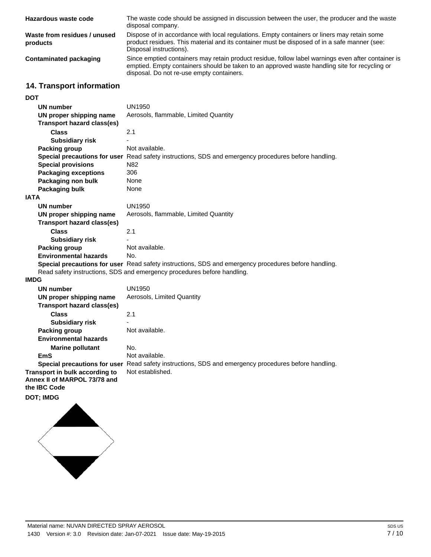| Hazardous waste code                     | The waste code should be assigned in discussion between the user, the producer and the waste<br>disposal company.                                                                                                                                |
|------------------------------------------|--------------------------------------------------------------------------------------------------------------------------------------------------------------------------------------------------------------------------------------------------|
| Waste from residues / unused<br>products | Dispose of in accordance with local regulations. Empty containers or liners may retain some<br>product residues. This material and its container must be disposed of in a safe manner (see:<br>Disposal instructions).                           |
| Contaminated packaging                   | Since emptied containers may retain product residue, follow label warnings even after container is<br>emptied. Empty containers should be taken to an approved waste handling site for recycling or<br>disposal. Do not re-use empty containers. |

## **14. Transport information**

**DOT**

| <b>DOT</b>                        |                                                                                                             |  |
|-----------------------------------|-------------------------------------------------------------------------------------------------------------|--|
| <b>UN number</b>                  | <b>UN1950</b>                                                                                               |  |
| UN proper shipping name           | Aerosols, flammable, Limited Quantity                                                                       |  |
| <b>Transport hazard class(es)</b> |                                                                                                             |  |
| <b>Class</b>                      | 2.1                                                                                                         |  |
| <b>Subsidiary risk</b>            |                                                                                                             |  |
| Packing group                     | Not available.                                                                                              |  |
|                                   | Special precautions for user Read safety instructions, SDS and emergency procedures before handling.        |  |
| <b>Special provisions</b>         | N82                                                                                                         |  |
| <b>Packaging exceptions</b>       | 306                                                                                                         |  |
| Packaging non bulk                | None                                                                                                        |  |
| Packaging bulk                    | None                                                                                                        |  |
| <b>IATA</b>                       |                                                                                                             |  |
| <b>UN number</b>                  | <b>UN1950</b>                                                                                               |  |
| UN proper shipping name           | Aerosols, flammable, Limited Quantity                                                                       |  |
| <b>Transport hazard class(es)</b> |                                                                                                             |  |
| <b>Class</b>                      | 2.1                                                                                                         |  |
| <b>Subsidiary risk</b>            |                                                                                                             |  |
| Packing group                     | Not available.                                                                                              |  |
| <b>Environmental hazards</b>      | No.                                                                                                         |  |
|                                   | <b>Special precautions for user</b> Read safety instructions, SDS and emergency procedures before handling. |  |
|                                   | Read safety instructions, SDS and emergency procedures before handling.                                     |  |
| <b>IMDG</b>                       |                                                                                                             |  |
| <b>UN number</b>                  | <b>UN1950</b>                                                                                               |  |
| UN proper shipping name           | Aerosols, Limited Quantity                                                                                  |  |
| <b>Transport hazard class(es)</b> |                                                                                                             |  |
| <b>Class</b>                      | 2.1                                                                                                         |  |
| <b>Subsidiary risk</b>            |                                                                                                             |  |
| Packing group                     | Not available.                                                                                              |  |
| <b>Environmental hazards</b>      |                                                                                                             |  |
| <b>Marine pollutant</b>           | No.                                                                                                         |  |
| <b>EmS</b>                        | Not available.                                                                                              |  |

**Special precautions for user** Read safety instructions, SDS and emergency procedures before handling. **Transport in bulk according to** Not established. **Annex II of MARPOL 73/78 and the IBC Code**

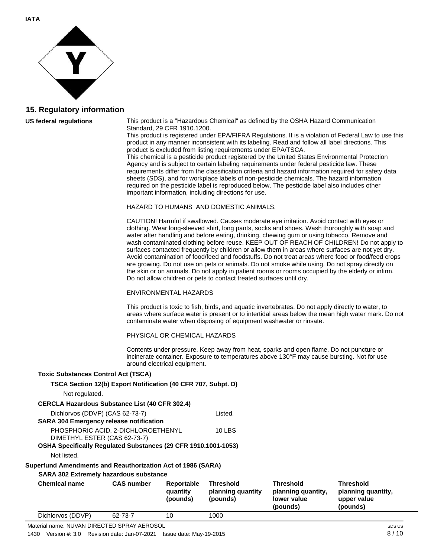

### **15. Regulatory information**

#### **US federal regulations**

This product is a "Hazardous Chemical" as defined by the OSHA Hazard Communication Standard, 29 CFR 1910.1200.

This product is registered under EPA/FIFRA Regulations. It is a violation of Federal Law to use this product in any manner inconsistent with its labeling. Read and follow all label directions. This product is excluded from listing requirements under EPA/TSCA.

This chemical is a pesticide product registered by the United States Environmental Protection Agency and is subject to certain labeling requirements under federal pesticide law. These requirements differ from the classification criteria and hazard information required for safety data sheets (SDS), and for workplace labels of non-pesticide chemicals. The hazard information required on the pesticide label is reproduced below. The pesticide label also includes other important information, including directions for use.

#### HAZARD TO HUMANS AND DOMESTIC ANIMALS.

CAUTION! Harmful if swallowed. Causes moderate eye irritation. Avoid contact with eyes or clothing. Wear long-sleeved shirt, long pants, socks and shoes. Wash thoroughly with soap and water after handling and before eating, drinking, chewing gum or using tobacco. Remove and wash contaminated clothing before reuse. KEEP OUT OF REACH OF CHILDREN! Do not apply to surfaces contacted frequently by children or allow them in areas where surfaces are not yet dry. Avoid contamination of food/feed and foodstuffs. Do not treat areas where food or food/feed crops are growing. Do not use on pets or animals. Do not smoke while using. Do not spray directly on the skin or on animals. Do not apply in patient rooms or rooms occupied by the elderly or infirm. Do not allow children or pets to contact treated surfaces until dry.

#### ENVIRONMENTAL HAZARDS

This product is toxic to fish, birds, and aquatic invertebrates. Do not apply directly to water, to areas where surface water is present or to intertidal areas below the mean high water mark. Do not contaminate water when disposing of equipment washwater or rinsate.

**Threshold**

**planning quantity, lower value (pounds)**

PHYSICAL OR CHEMICAL HAZARDS

**(pounds)**

**(pounds)**

Contents under pressure. Keep away from heat, sparks and open flame. Do not puncture or incinerate container. Exposure to temperatures above 130°F may cause bursting. Not for use around electrical equipment.

#### **Toxic Substances Control Act (TSCA)**

| Not regulated.                                                                                               | TSCA Section 12(b) Export Notification (40 CFR 707, Subpt. D)      |                        |                                       |
|--------------------------------------------------------------------------------------------------------------|--------------------------------------------------------------------|------------------------|---------------------------------------|
| <b>CERCLA Hazardous Substance List (40 CFR 302.4)</b>                                                        |                                                                    |                        |                                       |
| Dichlorvos (DDVP) (CAS 62-73-7)<br><b>SARA 304 Emergency release notification</b>                            |                                                                    |                        | Listed.                               |
| OSHA Specifically Regulated Substances (29 CFR 1910.1001-1053)                                               | PHOSPHORIC ACID, 2-DICHLOROETHENYL<br>DIMETHYL ESTER (CAS 62-73-7) |                        | <b>10 LBS</b>                         |
| Not listed.                                                                                                  |                                                                    |                        |                                       |
| Superfund Amendments and Reauthorization Act of 1986 (SARA)<br><b>SARA 302 Extremely hazardous substance</b> |                                                                    |                        |                                       |
| <b>Chemical name</b>                                                                                         | <b>CAS</b> number                                                  | Reportable<br>quantity | <b>Threshold</b><br>planning quantity |

**Threshold planning quantity, upper value (pounds)**

Dichlorvos (DDVP) 62-73-7 10 1000 Material name: NUVAN DIRECTED SPRAY AEROSOL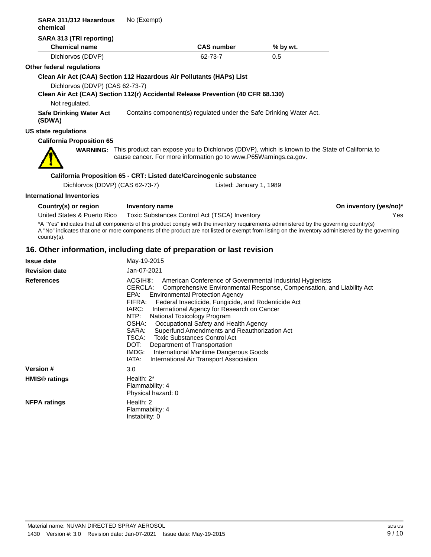| SARA 311/312 Hazardous<br>chemical                                                                                                                                                                                                                                                                           | No (Exempt)                                                                                       |                                                                                                                                                                                                                                                                                                                                                                                                                                        |                         |                                                                                                                                    |                        |
|--------------------------------------------------------------------------------------------------------------------------------------------------------------------------------------------------------------------------------------------------------------------------------------------------------------|---------------------------------------------------------------------------------------------------|----------------------------------------------------------------------------------------------------------------------------------------------------------------------------------------------------------------------------------------------------------------------------------------------------------------------------------------------------------------------------------------------------------------------------------------|-------------------------|------------------------------------------------------------------------------------------------------------------------------------|------------------------|
| SARA 313 (TRI reporting)<br><b>Chemical name</b>                                                                                                                                                                                                                                                             |                                                                                                   |                                                                                                                                                                                                                                                                                                                                                                                                                                        | <b>CAS number</b>       | % by wt.                                                                                                                           |                        |
| Dichlorvos (DDVP)                                                                                                                                                                                                                                                                                            |                                                                                                   | 62-73-7                                                                                                                                                                                                                                                                                                                                                                                                                                |                         | 0.5                                                                                                                                |                        |
| Other federal regulations                                                                                                                                                                                                                                                                                    |                                                                                                   |                                                                                                                                                                                                                                                                                                                                                                                                                                        |                         |                                                                                                                                    |                        |
| Clean Air Act (CAA) Section 112 Hazardous Air Pollutants (HAPs) List                                                                                                                                                                                                                                         |                                                                                                   |                                                                                                                                                                                                                                                                                                                                                                                                                                        |                         |                                                                                                                                    |                        |
| Dichlorvos (DDVP) (CAS 62-73-7)<br>Clean Air Act (CAA) Section 112(r) Accidental Release Prevention (40 CFR 68.130)                                                                                                                                                                                          |                                                                                                   |                                                                                                                                                                                                                                                                                                                                                                                                                                        |                         |                                                                                                                                    |                        |
| Not regulated.                                                                                                                                                                                                                                                                                               |                                                                                                   |                                                                                                                                                                                                                                                                                                                                                                                                                                        |                         |                                                                                                                                    |                        |
| <b>Safe Drinking Water Act</b><br>(SDWA)                                                                                                                                                                                                                                                                     |                                                                                                   |                                                                                                                                                                                                                                                                                                                                                                                                                                        |                         | Contains component(s) regulated under the Safe Drinking Water Act.                                                                 |                        |
| US state regulations                                                                                                                                                                                                                                                                                         |                                                                                                   |                                                                                                                                                                                                                                                                                                                                                                                                                                        |                         |                                                                                                                                    |                        |
| <b>California Proposition 65</b>                                                                                                                                                                                                                                                                             |                                                                                                   |                                                                                                                                                                                                                                                                                                                                                                                                                                        |                         |                                                                                                                                    |                        |
|                                                                                                                                                                                                                                                                                                              |                                                                                                   | cause cancer. For more information go to www.P65Warnings.ca.gov.                                                                                                                                                                                                                                                                                                                                                                       |                         | <b>WARNING:</b> This product can expose you to Dichlorvos (DDVP), which is known to the State of California to                     |                        |
| California Proposition 65 - CRT: Listed date/Carcinogenic substance                                                                                                                                                                                                                                          |                                                                                                   |                                                                                                                                                                                                                                                                                                                                                                                                                                        |                         |                                                                                                                                    |                        |
| Dichlorvos (DDVP) (CAS 62-73-7)                                                                                                                                                                                                                                                                              |                                                                                                   |                                                                                                                                                                                                                                                                                                                                                                                                                                        | Listed: January 1, 1989 |                                                                                                                                    |                        |
| <b>International Inventories</b>                                                                                                                                                                                                                                                                             |                                                                                                   |                                                                                                                                                                                                                                                                                                                                                                                                                                        |                         |                                                                                                                                    |                        |
| Country(s) or region                                                                                                                                                                                                                                                                                         | Inventory name                                                                                    |                                                                                                                                                                                                                                                                                                                                                                                                                                        |                         |                                                                                                                                    | On inventory (yes/no)* |
| United States & Puerto Rico                                                                                                                                                                                                                                                                                  |                                                                                                   | Toxic Substances Control Act (TSCA) Inventory                                                                                                                                                                                                                                                                                                                                                                                          |                         |                                                                                                                                    | Yes                    |
| *A "Yes" indicates that all components of this product comply with the inventory requirements administered by the governing country(s)<br>A "No" indicates that one or more components of the product are not listed or exempt from listing on the inventory administered by the governing<br>$country(s)$ . |                                                                                                   |                                                                                                                                                                                                                                                                                                                                                                                                                                        |                         |                                                                                                                                    |                        |
| 16. Other information, including date of preparation or last revision                                                                                                                                                                                                                                        |                                                                                                   |                                                                                                                                                                                                                                                                                                                                                                                                                                        |                         |                                                                                                                                    |                        |
| <b>Issue date</b>                                                                                                                                                                                                                                                                                            | May-19-2015                                                                                       |                                                                                                                                                                                                                                                                                                                                                                                                                                        |                         |                                                                                                                                    |                        |
| <b>Revision date</b>                                                                                                                                                                                                                                                                                         | Jan-07-2021                                                                                       |                                                                                                                                                                                                                                                                                                                                                                                                                                        |                         |                                                                                                                                    |                        |
| <b>References</b>                                                                                                                                                                                                                                                                                            | ACGIH®:<br>CERCLA:<br>EPA:<br>FIFRA:<br>IARC:<br>NTP:<br>OSHA:<br>TSCA:<br>DOT:<br>IMDG:<br>IATA: | <b>Environmental Protection Agency</b><br>Federal Insecticide, Fungicide, and Rodenticide Act<br>International Agency for Research on Cancer<br>National Toxicology Program<br>Occupational Safety and Health Agency<br>SARA: Superfund Amendments and Reauthorization Act<br><b>Toxic Substances Control Act</b><br>Department of Transportation<br>International Maritime Dangerous Goods<br>International Air Transport Association |                         | American Conference of Governmental Industrial Hygienists<br>Comprehensive Environmental Response, Compensation, and Liability Act |                        |
| Version #                                                                                                                                                                                                                                                                                                    | 3.0                                                                                               |                                                                                                                                                                                                                                                                                                                                                                                                                                        |                         |                                                                                                                                    |                        |
| <b>HMIS<sup>®</sup></b> ratings                                                                                                                                                                                                                                                                              | Health: 2*<br>Flammability: 4<br>Physical hazard: 0                                               |                                                                                                                                                                                                                                                                                                                                                                                                                                        |                         |                                                                                                                                    |                        |
| <b>NFPA ratings</b>                                                                                                                                                                                                                                                                                          | Health: 2<br>Flammability: 4<br>Instability: 0                                                    |                                                                                                                                                                                                                                                                                                                                                                                                                                        |                         |                                                                                                                                    |                        |